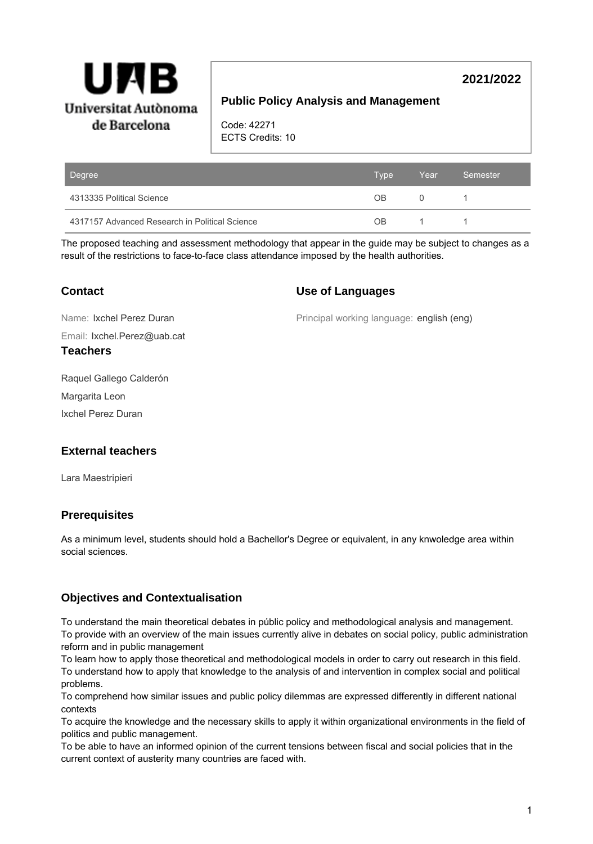

# **2021/2022**

## **Public Policy Analysis and Management**

Code: 42271 ECTS Credits: 10

| Degree                                         | <b>Type</b> | Year     | Semester |
|------------------------------------------------|-------------|----------|----------|
| 4313335 Political Science                      | OB.         | $\Omega$ |          |
| 4317157 Advanced Research in Political Science | 0B          |          |          |

The proposed teaching and assessment methodology that appear in the guide may be subject to changes as a result of the restrictions to face-to-face class attendance imposed by the health authorities.

## **Contact**

### **Use of Languages**

Name: Ixchel Perez Duran

Principal working language: english (eng)

Email: Ixchel.Perez@uab.cat

### **Teachers**

Raquel Gallego Calderón

Margarita Leon

Ixchel Perez Duran

## **External teachers**

Lara Maestripieri

## **Prerequisites**

As a minimum level, students should hold a Bachellor's Degree or equivalent, in any knwoledge area within social sciences.

## **Objectives and Contextualisation**

To understand the main theoretical debates in públic policy and methodological analysis and management. To provide with an overview of the main issues currently alive in debates on social policy, public administration reform and in public management

To learn how to apply those theoretical and methodological models in order to carry out research in this field. To understand how to apply that knowledge to the analysis of and intervention in complex social and political problems.

To comprehend how similar issues and public policy dilemmas are expressed differently in different national contexts

To acquire the knowledge and the necessary skills to apply it within organizational environments in the field of politics and public management.

To be able to have an informed opinion of the current tensions between fiscal and social policies that in the current context of austerity many countries are faced with.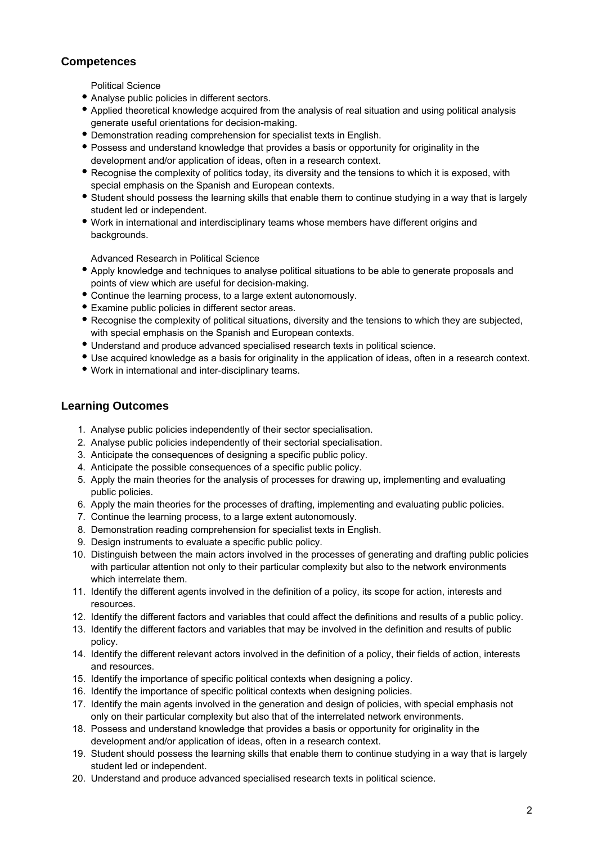## **Competences**

Political Science

- Analyse public policies in different sectors.
- Applied theoretical knowledge acquired from the analysis of real situation and using political analysis generate useful orientations for decision-making.
- Demonstration reading comprehension for specialist texts in English.
- Possess and understand knowledge that provides a basis or opportunity for originality in the development and/or application of ideas, often in a research context.
- Recognise the complexity of politics today, its diversity and the tensions to which it is exposed, with special emphasis on the Spanish and European contexts.
- Student should possess the learning skills that enable them to continue studying in a way that is largely student led or independent.
- Work in international and interdisciplinary teams whose members have different origins and backgrounds.

Advanced Research in Political Science

- Apply knowledge and techniques to analyse political situations to be able to generate proposals and points of view which are useful for decision-making.
- Continue the learning process, to a large extent autonomously.
- Examine public policies in different sector areas.
- Recognise the complexity of political situations, diversity and the tensions to which they are subjected, with special emphasis on the Spanish and European contexts.
- Understand and produce advanced specialised research texts in political science.
- Use acquired knowledge as a basis for originality in the application of ideas, often in a research context.
- Work in international and inter-disciplinary teams.

### **Learning Outcomes**

- 1. Analyse public policies independently of their sector specialisation.
- 2. Analyse public policies independently of their sectorial specialisation.
- 3. Anticipate the consequences of designing a specific public policy.
- 4. Anticipate the possible consequences of a specific public policy.
- 5. Apply the main theories for the analysis of processes for drawing up, implementing and evaluating public policies.
- 6. Apply the main theories for the processes of drafting, implementing and evaluating public policies.
- 7. Continue the learning process, to a large extent autonomously.
- 8. Demonstration reading comprehension for specialist texts in English.
- 9. Design instruments to evaluate a specific public policy.
- 10. Distinguish between the main actors involved in the processes of generating and drafting public policies with particular attention not only to their particular complexity but also to the network environments which interrelate them.
- 11. Identify the different agents involved in the definition of a policy, its scope for action, interests and resources.
- 12. Identify the different factors and variables that could affect the definitions and results of a public policy.
- 13. Identify the different factors and variables that may be involved in the definition and results of public policy.
- 14. Identify the different relevant actors involved in the definition of a policy, their fields of action, interests and resources.
- 15. Identify the importance of specific political contexts when designing a policy.
- 16. Identify the importance of specific political contexts when designing policies.
- 17. Identify the main agents involved in the generation and design of policies, with special emphasis not only on their particular complexity but also that of the interrelated network environments.
- 18. Possess and understand knowledge that provides a basis or opportunity for originality in the development and/or application of ideas, often in a research context.
- 19. Student should possess the learning skills that enable them to continue studying in a way that is largely student led or independent.
- 20. Understand and produce advanced specialised research texts in political science.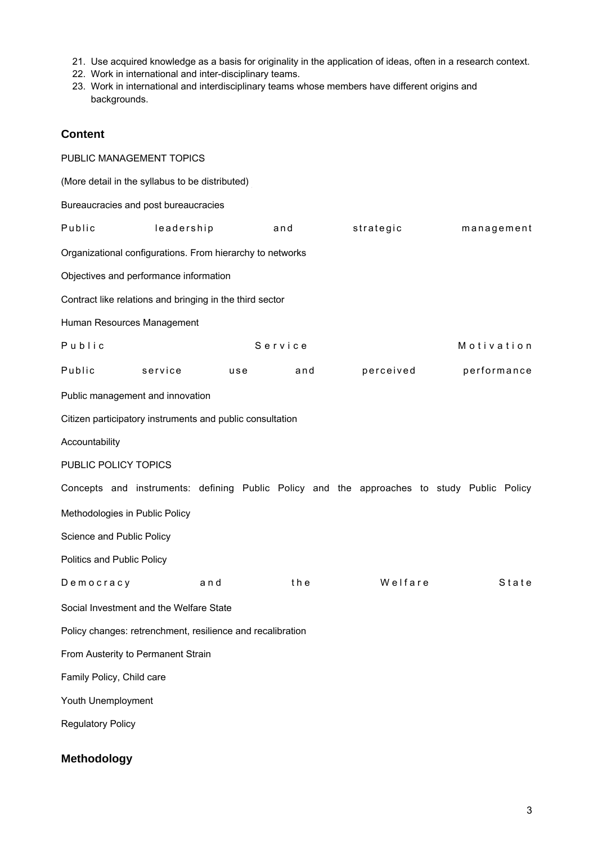- 21. Use acquired knowledge as a basis for originality in the application of ideas, often in a research context.
- 22. Work in international and inter-disciplinary teams.
- 23. Work in international and interdisciplinary teams whose members have different origins and backgrounds.

### **Content**

| PUBLIC MANAGEMENT TOPICS                                   |            |                                                           |     |           |                                                                                            |
|------------------------------------------------------------|------------|-----------------------------------------------------------|-----|-----------|--------------------------------------------------------------------------------------------|
| (More detail in the syllabus to be distributed)            |            |                                                           |     |           |                                                                                            |
| Bureaucracies and post bureaucracies                       |            |                                                           |     |           |                                                                                            |
| Public                                                     | leadership |                                                           | and | strategic | management                                                                                 |
|                                                            |            | Organizational configurations. From hierarchy to networks |     |           |                                                                                            |
| Objectives and performance information                     |            |                                                           |     |           |                                                                                            |
|                                                            |            | Contract like relations and bringing in the third sector  |     |           |                                                                                            |
| Human Resources Management                                 |            |                                                           |     |           |                                                                                            |
| Public                                                     |            | Service                                                   |     |           | Motivation                                                                                 |
| Public                                                     | service    | use                                                       | and | perceived | performance                                                                                |
| Public management and innovation                           |            |                                                           |     |           |                                                                                            |
|                                                            |            | Citizen participatory instruments and public consultation |     |           |                                                                                            |
| Accountability                                             |            |                                                           |     |           |                                                                                            |
| PUBLIC POLICY TOPICS                                       |            |                                                           |     |           |                                                                                            |
|                                                            |            |                                                           |     |           | Concepts and instruments: defining Public Policy and the approaches to study Public Policy |
| Methodologies in Public Policy                             |            |                                                           |     |           |                                                                                            |
| Science and Public Policy                                  |            |                                                           |     |           |                                                                                            |
| <b>Politics and Public Policy</b>                          |            |                                                           |     |           |                                                                                            |
| Democracy                                                  |            | and                                                       | the | Welfare   | State                                                                                      |
| Social Investment and the Welfare State                    |            |                                                           |     |           |                                                                                            |
| Policy changes: retrenchment, resilience and recalibration |            |                                                           |     |           |                                                                                            |
| From Austerity to Permanent Strain                         |            |                                                           |     |           |                                                                                            |
| Family Policy, Child care                                  |            |                                                           |     |           |                                                                                            |
| Youth Unemployment                                         |            |                                                           |     |           |                                                                                            |
| <b>Regulatory Policy</b>                                   |            |                                                           |     |           |                                                                                            |
|                                                            |            |                                                           |     |           |                                                                                            |

# **Methodology**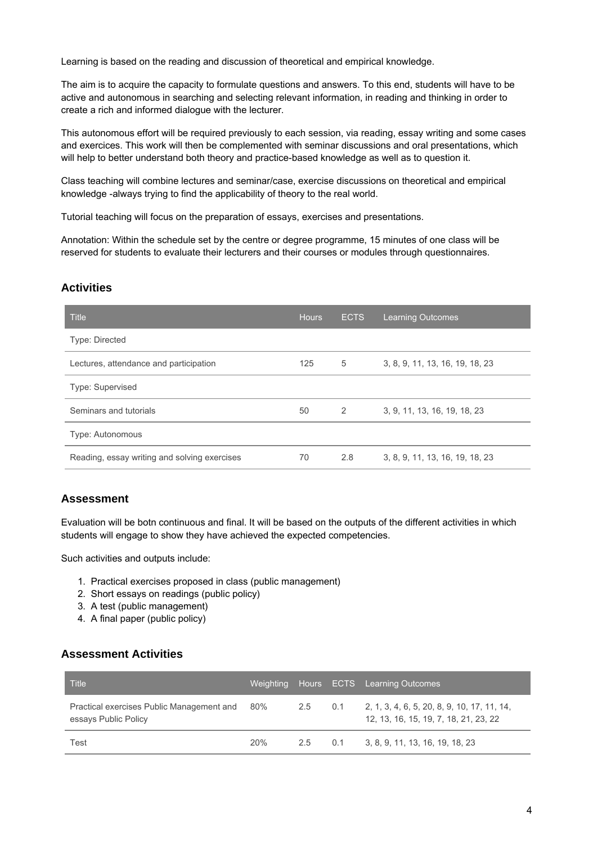Learning is based on the reading and discussion of theoretical and empirical knowledge.

The aim is to acquire the capacity to formulate questions and answers. To this end, students will have to be active and autonomous in searching and selecting relevant information, in reading and thinking in order to create a rich and informed dialogue with the lecturer.

This autonomous effort will be required previously to each session, via reading, essay writing and some cases and exercices. This work will then be complemented with seminar discussions and oral presentations, which will help to better understand both theory and practice-based knowledge as well as to question it.

Class teaching will combine lectures and seminar/case, exercise discussions on theoretical and empirical knowledge -always trying to find the applicability of theory to the real world.

Tutorial teaching will focus on the preparation of essays, exercises and presentations.

Annotation: Within the schedule set by the centre or degree programme, 15 minutes of one class will be reserved for students to evaluate their lecturers and their courses or modules through questionnaires.

#### **Activities**

| <b>Title</b>                                 | <b>Hours</b> | <b>ECTS</b> | <b>Learning Outcomes</b>        |
|----------------------------------------------|--------------|-------------|---------------------------------|
| <b>Type: Directed</b>                        |              |             |                                 |
| Lectures, attendance and participation       | 125          | 5           | 3, 8, 9, 11, 13, 16, 19, 18, 23 |
| Type: Supervised                             |              |             |                                 |
| Seminars and tutorials                       | 50           | 2           | 3. 9. 11. 13. 16. 19. 18. 23    |
| Type: Autonomous                             |              |             |                                 |
| Reading, essay writing and solving exercises | 70           | 2.8         | 3, 8, 9, 11, 13, 16, 19, 18, 23 |

#### **Assessment**

Evaluation will be botn continuous and final. It will be based on the outputs of the different activities in which students will engage to show they have achieved the expected competencies.

Such activities and outputs include:

- 1. Practical exercises proposed in class (public management)
- 2. Short essays on readings (public policy)
- 3. A test (public management)
- 4. A final paper (public policy)

#### **Assessment Activities**

| Title                                                             |     |         | Weighting Hours ECTS Learning Outcomes                                               |
|-------------------------------------------------------------------|-----|---------|--------------------------------------------------------------------------------------|
| Practical exercises Public Management and<br>essays Public Policy | 80% | 2.5 0.1 | 2, 1, 3, 4, 6, 5, 20, 8, 9, 10, 17, 11, 14,<br>12, 13, 16, 15, 19, 7, 18, 21, 23, 22 |
| Test                                                              | 20% |         | 2.5 0.1 3, 8, 9, 11, 13, 16, 19, 18, 23                                              |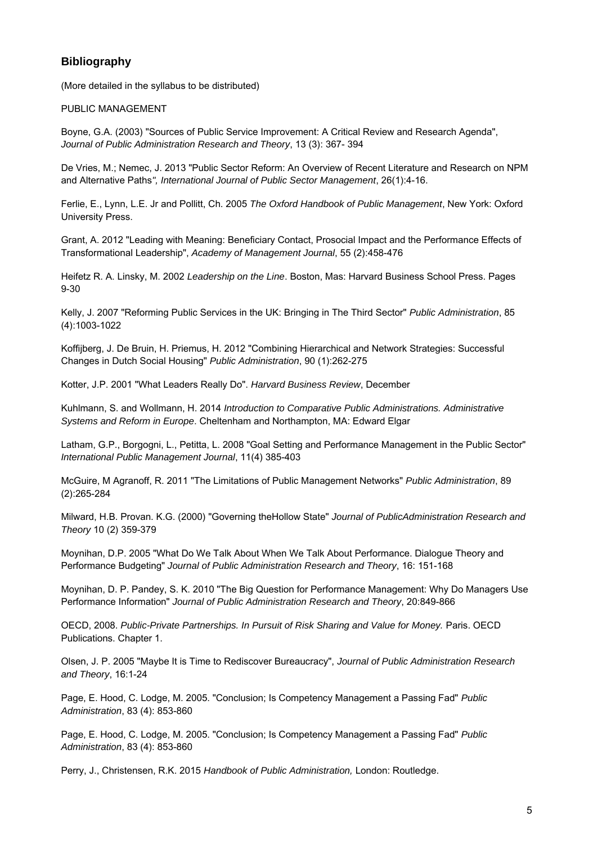## **Bibliography**

(More detailed in the syllabus to be distributed)

#### PUBLIC MANAGEMENT

Boyne, G.A. (2003) "Sources of Public Service Improvement: A Critical Review and Research Agenda", Journal of Public Administration Research and Theory, 13 (3): 367- 394

De Vries, M.; Nemec, J. 2013 "Public Sector Reform: An Overview of Recent Literature and Research on NPM and Alternative Paths", International Journal of Public Sector Management, 26(1):4-16.

Ferlie, E., Lynn, L.E. Jr and Pollitt, Ch. 2005 The Oxford Handbook of Public Management, New York: Oxford University Press.

Grant, A. 2012 "Leading with Meaning: Beneficiary Contact, Prosocial Impact and the Performance Effects of Transformational Leadership", Academy of Management Journal, 55 (2):458-476

Heifetz R. A. Linsky, M. 2002 Leadership on the Line. Boston, Mas: Harvard Business School Press. Pages 9-30

Kelly, J. 2007 "Reforming Public Services in the UK: Bringing in The Third Sector" Public Administration, 85 (4):1003-1022

Koffijberg, J. De Bruin, H. Priemus, H. 2012 "Combining Hierarchical and Network Strategies: Successful Changes in Dutch Social Housing" Public Administration, 90 (1):262-275

Kotter, J.P. 2001 "What Leaders Really Do". Harvard Business Review, December

Kuhlmann, S. and Wollmann, H. 2014 Introduction to Comparative Public Administrations. Administrative Systems and Reform in Europe. Cheltenham and Northampton, MA: Edward Elgar

Latham, G.P., Borgogni, L., Petitta, L. 2008 "Goal Setting and Performance Management in the Public Sector" International Public Management Journal, 11(4) 385-403

McGuire, M Agranoff, R. 2011 "The Limitations of Public Management Networks" Public Administration, 89 (2):265-284

Milward, H.B. Provan. K.G. (2000) "Governing theHollow State" Journal of PublicAdministration Research and Theory 10 (2) 359-379

Moynihan, D.P. 2005 "What Do We Talk About When We Talk About Performance. Dialogue Theory and Performance Budgeting" Journal of Public Administration Research and Theory, 16: 151-168

Moynihan, D. P. Pandey, S. K. 2010 "The Big Question for Performance Management: Why Do Managers Use Performance Information" Journal of Public Administration Research and Theory, 20:849-866

OECD, 2008. Public-Private Partnerships. In Pursuit of Risk Sharing and Value for Money. Paris. OECD Publications. Chapter 1.

Olsen, J. P. 2005 "Maybe It is Time to Rediscover Bureaucracy", Journal of Public Administration Research and Theory, 16:1-24

Page, E. Hood, C. Lodge, M. 2005. "Conclusion; Is Competency Management a Passing Fad" Public Administration, 83 (4): 853-860

Page, E. Hood, C. Lodge, M. 2005. "Conclusion; Is Competency Management a Passing Fad" Public Administration, 83 (4): 853-860

Perry, J., Christensen, R.K. 2015 Handbook of Public Administration, London: Routledge.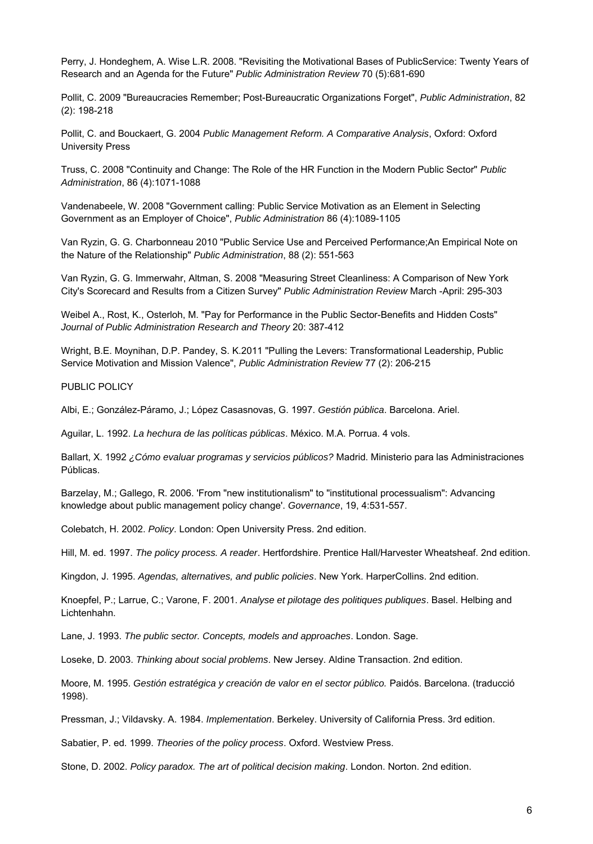Perry, J. Hondeghem, A. Wise L.R. 2008. "Revisiting the Motivational Bases of PublicService: Twenty Years of Research and an Agenda for the Future" Public Administration Review 70 (5):681-690

Pollit, C. 2009 "Bureaucracies Remember; Post-Bureaucratic Organizations Forget", Public Administration, 82 (2): 198-218

Pollit, C. and Bouckaert, G. 2004 Public Management Reform. A Comparative Analysis, Oxford: Oxford University Press

Truss, C. 2008 "Continuity and Change: The Role of the HR Function in the Modern Public Sector" Public Administration, 86 (4):1071-1088

Vandenabeele, W. 2008 "Government calling: Public Service Motivation as an Element in Selecting Government as an Employer of Choice", Public Administration 86 (4):1089-1105

Van Ryzin, G. G. Charbonneau 2010 "Public Service Use and Perceived Performance;An Empirical Note on the Nature of the Relationship" Public Administration, 88 (2): 551-563

Van Ryzin, G. G. Immerwahr, Altman, S. 2008 "Measuring Street Cleanliness: A Comparison of New York City's Scorecard and Results from a Citizen Survey" Public Administration Review March -April: 295-303

Weibel A., Rost, K., Osterloh, M. "Pay for Performance in the Public Sector-Benefits and Hidden Costs" Journal of Public Administration Research and Theory 20: 387-412

Wright, B.E. Moynihan, D.P. Pandey, S. K.2011 "Pulling the Levers: Transformational Leadership, Public Service Motivation and Mission Valence", Public Administration Review 77 (2): 206-215

PUBLIC POLICY

Albi, E.; González-Páramo, J.; López Casasnovas, G. 1997. Gestión pública. Barcelona. Ariel.

Aguilar, L. 1992. La hechura de las políticas públicas. México. M.A. Porrua. 4 vols.

Ballart, X. 1992 ¿Cómo evaluar programas y servicios públicos? Madrid. Ministerio para las Administraciones Públicas.

Barzelay, M.; Gallego, R. 2006. 'From "new institutionalism" to "institutional processualism": Advancing knowledge about public management policy change'. Governance, 19, 4:531-557.

Colebatch, H. 2002. Policy. London: Open University Press. 2nd edition.

Hill, M. ed. 1997. The policy process. A reader. Hertfordshire. Prentice Hall/Harvester Wheatsheaf. 2nd edition.

Kingdon, J. 1995. Agendas, alternatives, and public policies. New York. HarperCollins. 2nd edition.

Knoepfel, P.; Larrue, C.; Varone, F. 2001. *Analyse et pilotage des politiques publiques*. Basel. Helbing and Lichtenhahn.

Lane, J. 1993. The public sector. Concepts, models and approaches. London. Sage.

Loseke, D. 2003. Thinking about social problems. New Jersey. Aldine Transaction. 2nd edition.

Moore, M. 1995. Gestión estratégica y creación de valor en el sector público. Paidós. Barcelona. (traducció 1998).

Pressman, J.; Vildavsky. A. 1984. Implementation. Berkeley. University of California Press. 3rd edition.

Sabatier, P. ed. 1999. Theories of the policy process. Oxford. Westview Press.

Stone, D. 2002. Policy paradox. The art of political decision making. London. Norton. 2nd edition.